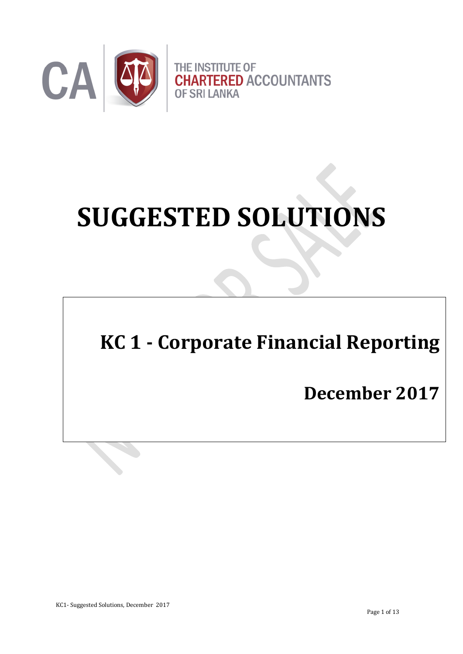

# **SUGGESTED SOLUTIONS**

# **KC 1 - Corporate Financial Reporting**

# **December 2017**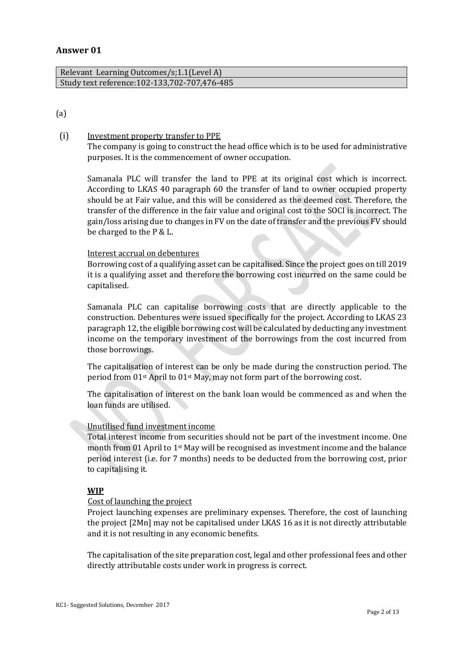# **Answer 01**

| Relevant Learning Outcomes/s; 1.1 (Level A)     |  |
|-------------------------------------------------|--|
| Study text reference: 102-133, 702-707, 476-485 |  |

# (a)

# (i) Investment property transfer to PPE

The company is going to construct the head office which is to be used for administrative purposes. It is the commencement of owner occupation.

Samanala PLC will transfer the land to PPE at its original cost which is incorrect. According to LKAS 40 paragraph 60 the transfer of land to owner occupied property should be at Fair value, and this will be considered as the deemed cost. Therefore, the transfer of the difference in the fair value and original cost to the SOCI is incorrect. The gain/loss arising due to changes in FV on the date of transfer and the previous FV should be charged to the P & L.

# Interest accrual on debentures

Borrowing cost of a qualifying asset can be capitalised. Since the project goes on till 2019 it is a qualifying asset and therefore the borrowing cost incurred on the same could be capitalised.

Samanala PLC can capitalise borrowing costs that are directly applicable to the construction. Debentures were issued specifically for the project. According to LKAS 23 paragraph 12, the eligible borrowing cost will be calculated by deducting any investment income on the temporary investment of the borrowings from the cost incurred from those borrowings.

The capitalisation of interest can be only be made during the construction period. The period from 01st April to 01st May, may not form part of the borrowing cost.

The capitalisation of interest on the bank loan would be commenced as and when the loan funds are utilised.

# Unutilised fund investment income

Total interest income from securities should not be part of the investment income. One month from 01 April to 1st May will be recognised as investment income and the balance period interest (i.e. for 7 months) needs to be deducted from the borrowing cost, prior to capitalising it.

# **WIP**

#### Cost of launching the project

Project launching expenses are preliminary expenses. Therefore, the cost of launching the project [2Mn] may not be capitalised under LKAS 16 as it is not directly attributable and it is not resulting in any economic benefits.

The capitalisation of the site preparation cost, legal and other professional fees and other directly attributable costs under work in progress is correct.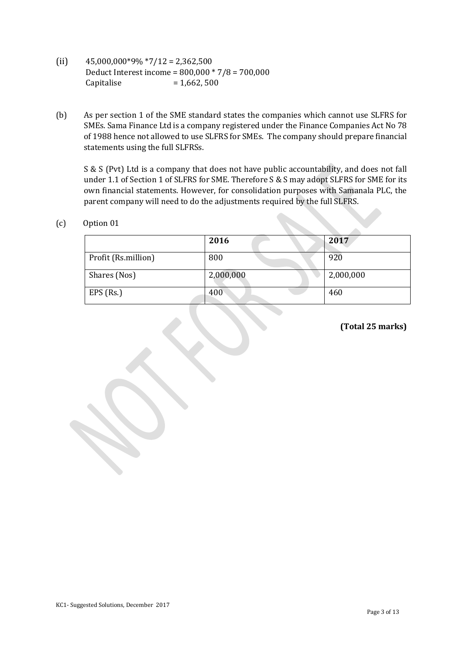- (ii)  $45,000,000*9\% *7/12 = 2,362,500$ Deduct Interest income = 800,000 \* 7/8 = 700,000 Capitalise  $= 1,662,500$
- (b) As per section 1 of the SME standard states the companies which cannot use SLFRS for SMEs. Sama Finance Ltd is a company registered under the Finance Companies Act No 78 of 1988 hence not allowed to use SLFRS for SMEs. The company should prepare financial statements using the full SLFRSs.

S & S (Pvt) Ltd is a company that does not have public accountability, and does not fall under 1.1 of Section 1 of SLFRS for SME. Therefore S & S may adopt SLFRS for SME for its own financial statements. However, for consolidation purposes with Samanala PLC, the parent company will need to do the adjustments required by the full SLFRS.

(c) Option 01

|                     | 2016      | 2017      |
|---------------------|-----------|-----------|
| Profit (Rs.million) | 800       | 920       |
| Shares (Nos)        | 2,000,000 | 2,000,000 |
| $EPS$ (Rs.)         | 400       | 460       |

**(Total 25 marks)**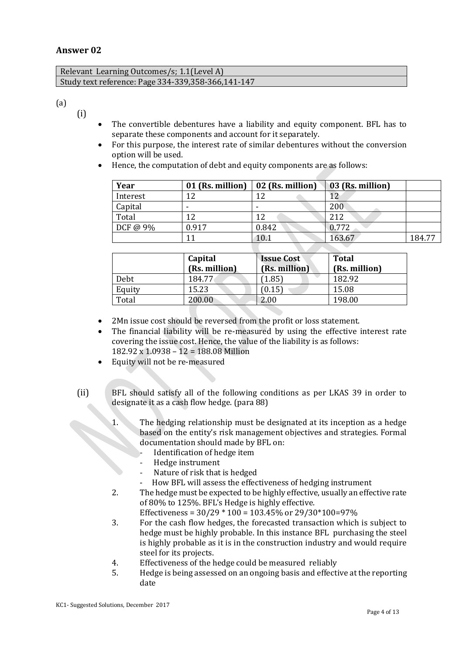# **Answer 02**

| Relevant Learning Outcomes/s; 1.1(Level A)         |
|----------------------------------------------------|
| Study text reference: Page 334-339,358-366,141-147 |

(a)

- (i)
- The convertible debentures have a liability and equity component. BFL has to separate these components and account for it separately.
- For this purpose, the interest rate of similar debentures without the conversion option will be used.
- Hence, the computation of debt and equity components are as follows:

| Year     | 01 (Rs. million) | 02 (Rs. million) | 03 (Rs. million) |        |
|----------|------------------|------------------|------------------|--------|
| Interest | 12               | 12               |                  |        |
| Capital  |                  |                  | 200              |        |
| Total    | 12               | 12               | 212              |        |
| DCF@9%   | 0.917            | 0.842            | 0.772            |        |
|          |                  | 10.1             | 163.67           | 184.77 |

|        | Capital<br>(Rs. million) | <b>Issue Cost</b><br>(Rs. million) | <b>Total</b><br>(Rs. million) |
|--------|--------------------------|------------------------------------|-------------------------------|
| Debt   | 184.77                   | [1.85]                             | 182.92                        |
| Equity | 15.23                    | 0.15                               | 15.08                         |
| Total  | 200.00                   | 2.00                               | 198.00                        |

- 2Mn issue cost should be reversed from the profit or loss statement.
- The financial liability will be re-measured by using the effective interest rate covering the issue cost. Hence, the value of the liability is as follows: 182.92 x 1.0938 – 12 = 188.08 Million
- Equity will not be re-measured
- (ii) BFL should satisfy all of the following conditions as per LKAS 39 in order to designate it as a cash flow hedge. (para 88)
	- 1. The hedging relationship must be designated at its inception as a hedge based on the entity's risk management objectives and strategies. Formal documentation should made by BFL on:
		- Identification of hedge item
		- Hedge instrument
		- Nature of risk that is hedged
		- How BFL will assess the effectiveness of hedging instrument
	- 2. The hedge must be expected to be highly effective, usually an effective rate of 80% to 125%. BFL's Hedge is highly effective.

Effectiveness =  $30/29 * 100 = 103.45\%$  or  $29/30 * 100 = 97\%$ 

- 3. For the cash flow hedges, the forecasted transaction which is subject to hedge must be highly probable. In this instance BFL purchasing the steel is highly probable as it is in the construction industry and would require steel for its projects.
- 4. Effectiveness of the hedge could be measured reliably
- 5. Hedge is being assessed on an ongoing basis and effective at the reporting date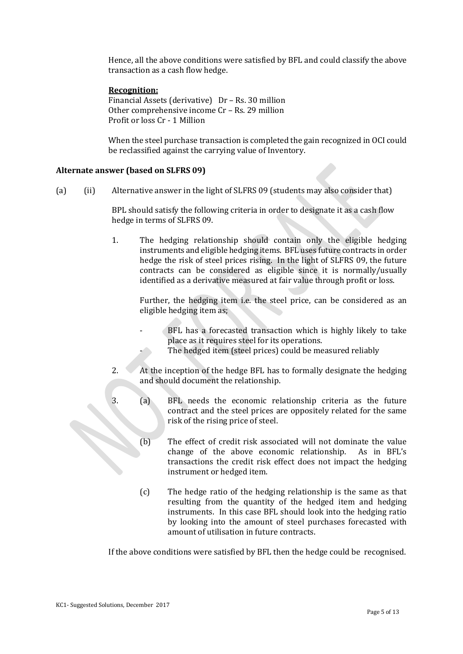Hence, all the above conditions were satisfied by BFL and could classify the above transaction as a cash flow hedge.

# **Recognition:**

Financial Assets (derivative) Dr – Rs. 30 million Other comprehensive income Cr – Rs. 29 million Profit or loss Cr - 1 Million

When the steel purchase transaction is completed the gain recognized in OCI could be reclassified against the carrying value of Inventory.

#### **Alternate answer (based on SLFRS 09)**

(a) (ii) Alternative answer in the light of SLFRS 09 (students may also consider that)

BPL should satisfy the following criteria in order to designate it as a cash flow hedge in terms of SLFRS 09.

1. The hedging relationship should contain only the eligible hedging instruments and eligible hedging items. BFL uses future contracts in order hedge the risk of steel prices rising. In the light of SLFRS 09, the future contracts can be considered as eligible since it is normally/usually identified as a derivative measured at fair value through profit or loss.

Further, the hedging item i.e. the steel price, can be considered as an eligible hedging item as;

- BFL has a forecasted transaction which is highly likely to take place as it requires steel for its operations.
	- The hedged item (steel prices) could be measured reliably
- 2. At the inception of the hedge BFL has to formally designate the hedging and should document the relationship.
- 3. (a) BFL needs the economic relationship criteria as the future contract and the steel prices are oppositely related for the same risk of the rising price of steel.
	- (b) The effect of credit risk associated will not dominate the value change of the above economic relationship. As in BFL's transactions the credit risk effect does not impact the hedging instrument or hedged item.
	- (c) The hedge ratio of the hedging relationship is the same as that resulting from the quantity of the hedged item and hedging instruments. In this case BFL should look into the hedging ratio by looking into the amount of steel purchases forecasted with amount of utilisation in future contracts.

If the above conditions were satisfied by BFL then the hedge could be recognised.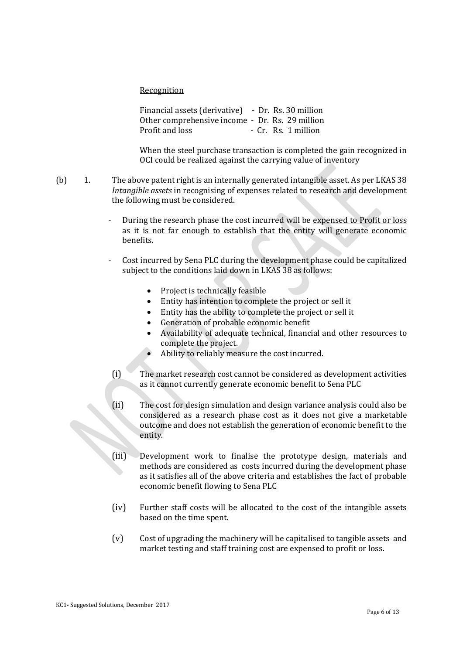Recognition

Financial assets (derivative) - Dr. Rs. 30 million Other comprehensive income - Dr. Rs. 29 million Profit and loss - Cr. Rs. 1 million

When the steel purchase transaction is completed the gain recognized in OCI could be realized against the carrying value of inventory

- (b) 1. The above patent right is an internally generated intangible asset. As per LKAS 38 *Intangible assets* in recognising of expenses related to research and development the following must be considered.
	- During the research phase the cost incurred will be expensed to Profit or loss as it is not far enough to establish that the entity will generate economic benefits.
	- Cost incurred by Sena PLC during the development phase could be capitalized subject to the conditions laid down in LKAS 38 as follows:
		- Project is technically feasible
		- Entity has intention to complete the project or sell it
		- Entity has the ability to complete the project or sell it
		- Generation of probable economic benefit
		- Availability of adequate technical, financial and other resources to complete the project.
		- Ability to reliably measure the cost incurred.
		- (i) The market research cost cannot be considered as development activities as it cannot currently generate economic benefit to Sena PLC
		- (ii) The cost for design simulation and design variance analysis could also be considered as a research phase cost as it does not give a marketable outcome and does not establish the generation of economic benefit to the entity.
		- (iii) Development work to finalise the prototype design, materials and methods are considered as costs incurred during the development phase as it satisfies all of the above criteria and establishes the fact of probable economic benefit flowing to Sena PLC
	- (iv) Further staff costs will be allocated to the cost of the intangible assets based on the time spent.
	- (v) Cost of upgrading the machinery will be capitalised to tangible assets and market testing and staff training cost are expensed to profit or loss.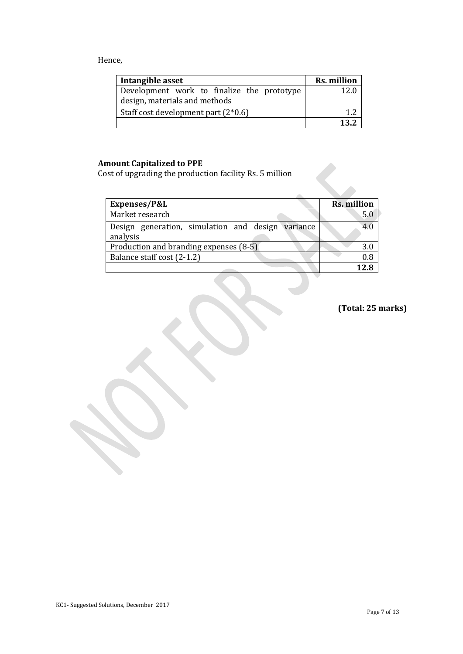# Hence,

| Intangible asset                                                            | Rs. million |
|-----------------------------------------------------------------------------|-------------|
| Development work to finalize the prototype<br>design, materials and methods | 12.0        |
| Staff cost development part (2*0.6)                                         |             |
|                                                                             | 129         |

# **Amount Capitalized to PPE**

Cost of upgrading the production facility Rs. 5 million

| Rs. million |
|-------------|
| 5.0         |
| 4.0         |
|             |
| 3.0         |
| 0.8         |
| 12R         |
|             |

**(Total: 25 marks)**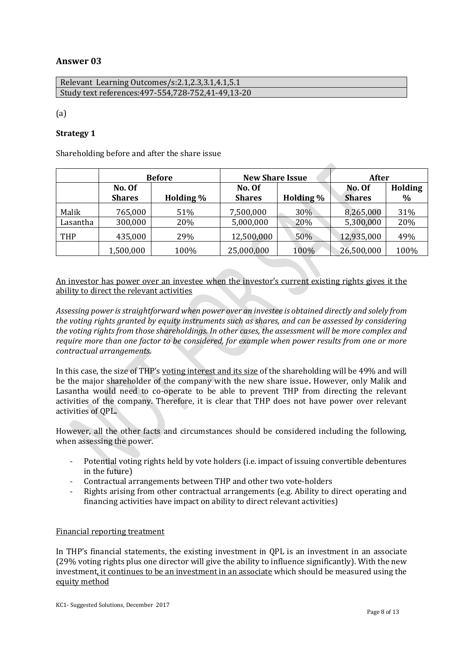# **Answer 03**

| Relevant Learning Outcomes/s:2.1,2.3,3.1,4.1,5.1      |  |
|-------------------------------------------------------|--|
| Study text references: 497-554, 728-752, 41-49, 13-20 |  |

(a)

# **Strategy 1**

Shareholding before and after the share issue

|          | <b>Before</b>           |           | <b>New Share Issue</b>  |           | After                   |                 |
|----------|-------------------------|-----------|-------------------------|-----------|-------------------------|-----------------|
|          | No. Of<br><b>Shares</b> | Holding % | No. Of<br><b>Shares</b> | Holding % | No. Of<br><b>Shares</b> | Holding<br>$\%$ |
| Malik    | 765,000                 | 51%       | 7,500,000               | 30%       | 8,265,000               | 31%             |
| Lasantha | 300,000                 | 20%       | 5,000,000               | 20%       | 5,300,000               | 20%             |
| THP      | 435,000                 | 29%       | 12,500,000              | 50%       | 12,935,000              | 49%             |
|          | 1,500,000               | 100%      | 25,000,000              | 100%      | 26,500,000              | 100%            |

An investor has power over an investee when the investor's current existing rights gives it the ability to direct the relevant activities

*Assessing power is straightforward when power over an investee is obtained directly and solely from the voting rights granted by equity instruments such as shares, and can be assessed by considering the voting rights from those shareholdings. In other cases, the assessment will be more complex and require more than one factor to be considered, for example when power results from one or more contractual arrangements.*

In this case, the size of THP's voting interest and its size of the shareholding will be 49% and will be the major shareholder of the company with the new share issue**.** However, only Malik and Lasantha would need to co-operate to be able to prevent THP from directing the relevant activities of the company. Therefore, it is clear that THP does not have power over relevant activities of QPL**.**

However, all the other facts and circumstances should be considered including the following, when assessing the power.

- Potential voting rights held by vote holders (i.e. impact of issuing convertible debentures in the future)
- Contractual arrangements between THP and other two vote-holders
- Rights arising from other contractual arrangements (e.g. Ability to direct operating and financing activities have impact on ability to direct relevant activities)

# Financial reporting treatment

In THP's financial statements, the existing investment in QPL is an investment in an associate (29% voting rights plus one director will give the ability to influence significantly). With the new investment, it continues to be an investment in an associate which should be measured using the equity method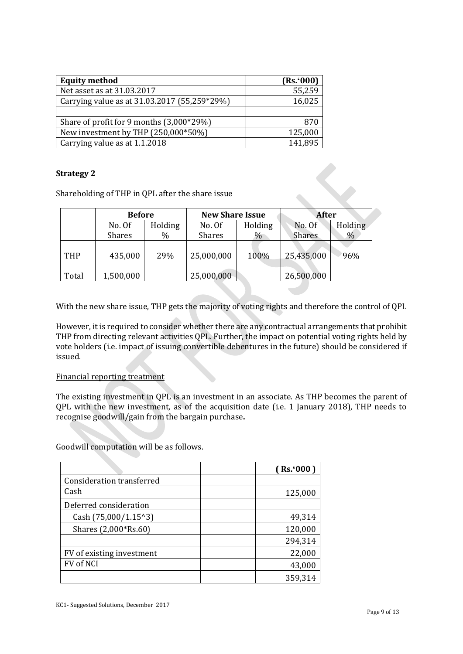| <b>Equity method</b>                         | (Rs.000) |
|----------------------------------------------|----------|
| Net asset as at 31.03.2017                   | 55,259   |
| Carrying value as at 31.03.2017 (55,259*29%) | 16,025   |
|                                              |          |
| Share of profit for 9 months (3,000*29%)     | 870      |
| New investment by THP (250,000*50%)          | 125,000  |
| Carrying value as at 1.1.2018                | 141,895  |

# **Strategy 2**

Shareholding of THP in QPL after the share issue

|       | <b>Before</b> |               | <b>New Share Issue</b> |         | <b>After</b>  |                |
|-------|---------------|---------------|------------------------|---------|---------------|----------------|
|       | No. Of        | Holding       | No. Of                 | Holding | No. Of        | <b>Holding</b> |
|       | <b>Shares</b> | $\frac{0}{0}$ | <b>Shares</b>          | $\%$    | <b>Shares</b> | $\%$           |
|       |               |               |                        |         |               |                |
| THP   | 435,000       | 29%           | 25,000,000             | 100%    | 25,435,000    | 96%            |
|       |               |               |                        |         |               |                |
| Total | 1,500,000     |               | 25,000,000             |         | 26,500,000    |                |

With the new share issue, THP gets the majority of voting rights and therefore the control of QPL

However, it is required to consider whether there are any contractual arrangements that prohibit THP from directing relevant activities QPL. Further, the impact on potential voting rights held by vote holders (i.e. impact of issuing convertible debentures in the future) should be considered if issued.

# Financial reporting treatment

The existing investment in QPL is an investment in an associate. As THP becomes the parent of QPL with the new investment, as of the acquisition date (i.e. 1 January 2018), THP needs to recognise goodwill/gain from the bargain purchase**.**

Goodwill computation will be as follows.

|                               | (Rs.000) |
|-------------------------------|----------|
| Consideration transferred     |          |
| Cash                          | 125,000  |
| Deferred consideration        |          |
| Cash $(75,000/1.15^{\circ}3)$ | 49,314   |
| Shares (2,000*Rs.60)          | 120,000  |
|                               | 294,314  |
| FV of existing investment     | 22,000   |
| <b>FV of NCI</b>              | 43,000   |
|                               | 359,314  |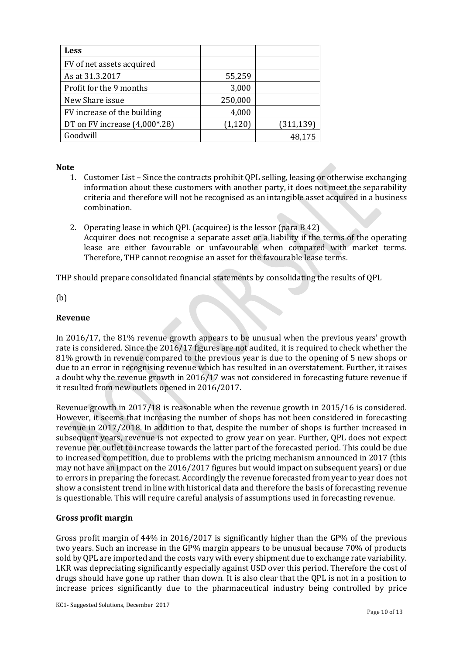| Less                          |          |            |
|-------------------------------|----------|------------|
| FV of net assets acquired     |          |            |
| As at 31.3.2017               | 55,259   |            |
| Profit for the 9 months       | 3,000    |            |
| New Share issue               | 250,000  |            |
| FV increase of the building   | 4,000    |            |
| DT on FV increase (4,000*.28) | (1, 120) | (311, 139) |
| Goodwill                      |          | 48,175     |

#### **Note**

- 1. Customer List Since the contracts prohibit QPL selling, leasing or otherwise exchanging information about these customers with another party, it does not meet the separability criteria and therefore will not be recognised as an intangible asset acquired in a business combination.
- 2. Operating lease in which QPL (acquiree) is the lessor (para B 42) Acquirer does not recognise a separate asset or a liability if the terms of the operating lease are either favourable or unfavourable when compared with market terms. Therefore, THP cannot recognise an asset for the favourable lease terms.

THP should prepare consolidated financial statements by consolidating the results of QPL

(b)

# **Revenue**

In 2016/17, the 81% revenue growth appears to be unusual when the previous years' growth rate is considered. Since the 2016/17 figures are not audited, it is required to check whether the 81% growth in revenue compared to the previous year is due to the opening of 5 new shops or due to an error in recognising revenue which has resulted in an overstatement. Further, it raises a doubt why the revenue growth in 2016/17 was not considered in forecasting future revenue if it resulted from new outlets opened in 2016/2017.

Revenue growth in 2017/18 is reasonable when the revenue growth in 2015/16 is considered. However, it seems that increasing the number of shops has not been considered in forecasting revenue in 2017/2018. In addition to that, despite the number of shops is further increased in subsequent years, revenue is not expected to grow year on year. Further, QPL does not expect revenue per outlet to increase towards the latter part of the forecasted period. This could be due to increased competition, due to problems with the pricing mechanism announced in 2017 (this may not have an impact on the 2016/2017 figures but would impact on subsequent years) or due to errors in preparing the forecast. Accordingly the revenue forecasted from year to year does not show a consistent trend in line with historical data and therefore the basis of forecasting revenue is questionable. This will require careful analysis of assumptions used in forecasting revenue.

# **Gross profit margin**

Gross profit margin of 44% in 2016/2017 is significantly higher than the GP% of the previous two years. Such an increase in the GP% margin appears to be unusual because 70% of products sold by QPL are imported and the costs vary with every shipment due to exchange rate variability. LKR was depreciating significantly especially against USD over this period. Therefore the cost of drugs should have gone up rather than down. It is also clear that the QPL is not in a position to increase prices significantly due to the pharmaceutical industry being controlled by price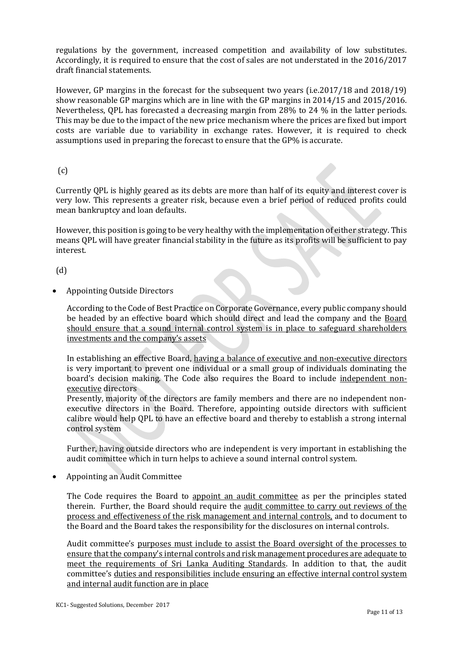regulations by the government, increased competition and availability of low substitutes. Accordingly, it is required to ensure that the cost of sales are not understated in the 2016/2017 draft financial statements.

However, GP margins in the forecast for the subsequent two years (i.e.2017/18 and 2018/19) show reasonable GP margins which are in line with the GP margins in 2014/15 and 2015/2016. Nevertheless, QPL has forecasted a decreasing margin from 28% to 24 % in the latter periods. This may be due to the impact of the new price mechanism where the prices are fixed but import costs are variable due to variability in exchange rates. However, it is required to check assumptions used in preparing the forecast to ensure that the GP% is accurate.

# (c)

Currently QPL is highly geared as its debts are more than half of its equity and interest cover is very low. This represents a greater risk, because even a brief period of reduced profits could mean [bankruptcy](https://www.investopedia.com/terms/b/bankruptcy.asp) and loan [defaults.](https://www.investopedia.com/terms/d/default2.asp) 

[However, this position is going to be very healthy with the implementation of either strategy. This](https://www.investopedia.com/terms/d/default2.asp)  means QPL will have [greater financial stability in the future as its profits will be sufficient to pay](https://www.investopedia.com/terms/d/default2.asp)  [interest.](https://www.investopedia.com/terms/d/default2.asp)

(d)

Appointing Outside Directors

According to the Code of Best Practice on Corporate Governance, every public company should be headed by an effective board which should direct and lead the company and the Board should ensure that a sound internal control system is in place to safeguard shareholders investments and the company's assets

In establishing an effective Board, having a balance of executive and non-executive directors is very important to prevent one individual or a small group of individuals dominating the board's decision making. The Code also requires the Board to include independent nonexecutive directors

Presently, majority of the directors are family members and there are no independent nonexecutive directors in the Board. Therefore, appointing outside directors with sufficient calibre would help QPL to have an effective board and thereby to establish a strong internal control system

Further, having outside directors who are independent is very important in establishing the audit committee which in turn helps to achieve a sound internal control system.

Appointing an Audit Committee

The Code requires the Board to appoint an audit committee as per the principles stated therein. Further, the Board should require the audit committee to carry out reviews of the process and effectiveness of the risk management and internal controls, and to document to the Board and the Board takes the responsibility for the disclosures on internal controls.

Audit committee's purposes must include to assist the Board oversight of the processes to ensure that the company's internal controls and risk management procedures are adequate to meet the requirements of Sri Lanka Auditing Standards. In addition to that, the audit committee's duties and responsibilities include ensuring an effective internal control system and internal audit function are in place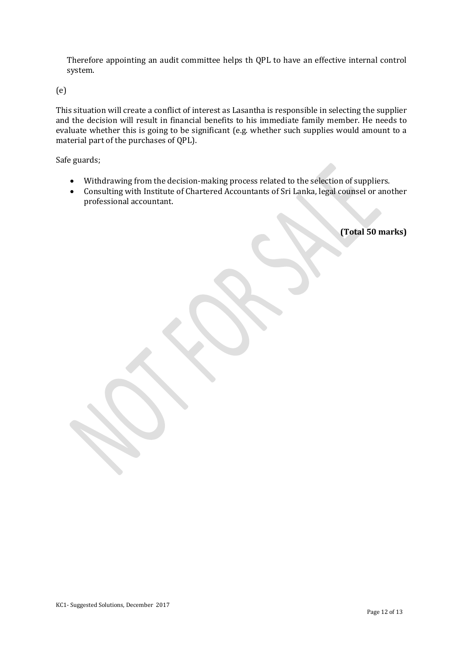Therefore appointing an audit committee helps th QPL to have an effective internal control system.

(e)

This situation will create a conflict of interest as Lasantha is responsible in selecting the supplier and the decision will result in financial benefits to his immediate family member. He needs to evaluate whether this is going to be significant (e.g. whether such supplies would amount to a material part of the purchases of QPL).

Safe guards;

- Withdrawing from the decision-making process related to the selection of suppliers.
- Consulting with Institute of Chartered Accountants of Sri Lanka, legal counsel or another professional accountant.

**(Total 50 marks)**